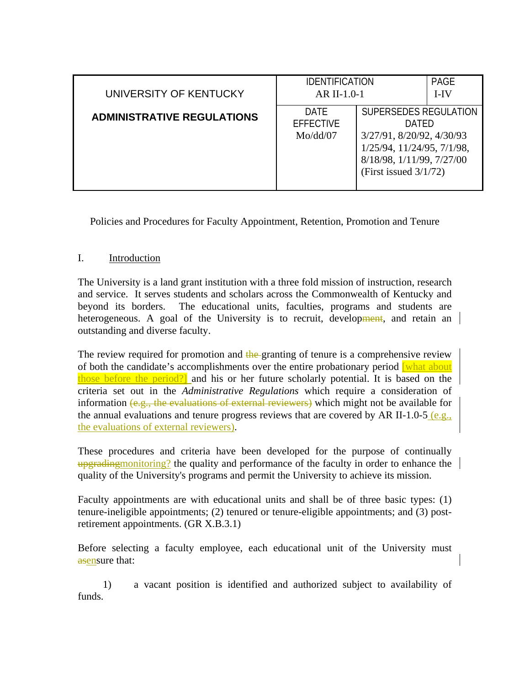| UNIVERSITY OF KENTUCKY            | <b>IDENTIFICATION</b><br>AR II-1.0-1 |                                                                                                                                                             | <b>PAGE</b><br><b>I-IV</b> |
|-----------------------------------|--------------------------------------|-------------------------------------------------------------------------------------------------------------------------------------------------------------|----------------------------|
| <b>ADMINISTRATIVE REGULATIONS</b> | DATF<br><b>EFFECTIVE</b><br>Mo/dd/07 | SUPERSEDES REGULATION<br>DATED<br>3/27/91, 8/20/92, 4/30/93<br>$1/25/94$ , $11/24/95$ , $7/1/98$ ,<br>8/18/98, 1/11/99, 7/27/00<br>(First issued $3/1/72$ ) |                            |

Policies and Procedures for Faculty Appointment, Retention, Promotion and Tenure

## I. Introduction

The University is a land grant institution with a three fold mission of instruction, research and service. It serves students and scholars across the Commonwealth of Kentucky and beyond its borders. The educational units, faculties, programs and students are heterogeneous. A goal of the University is to recruit, development, and retain an outstanding and diverse faculty.

The review required for promotion and the granting of tenure is a comprehensive review of both the candidate's accomplishments over the entire probationary period what about those before the period?] and his or her future scholarly potential. It is based on the criteria set out in the *Administrative Regulations* which require a consideration of information  $(e.g., the evaluations of external reviewers)$  which might not be available for the annual evaluations and tenure progress reviews that are covered by AR II-1.0-5 (e.g., the evaluations of external reviewers).

These procedures and criteria have been developed for the purpose of continually upgradingmonitoring? the quality and performance of the faculty in order to enhance the quality of the University's programs and permit the University to achieve its mission.

Faculty appointments are with educational units and shall be of three basic types: (1) tenure-ineligible appointments; (2) tenured or tenure-eligible appointments; and (3) postretirement appointments. (GR X.B.3.1)

Before selecting a faculty employee, each educational unit of the University must asensure that:

 1) a vacant position is identified and authorized subject to availability of funds.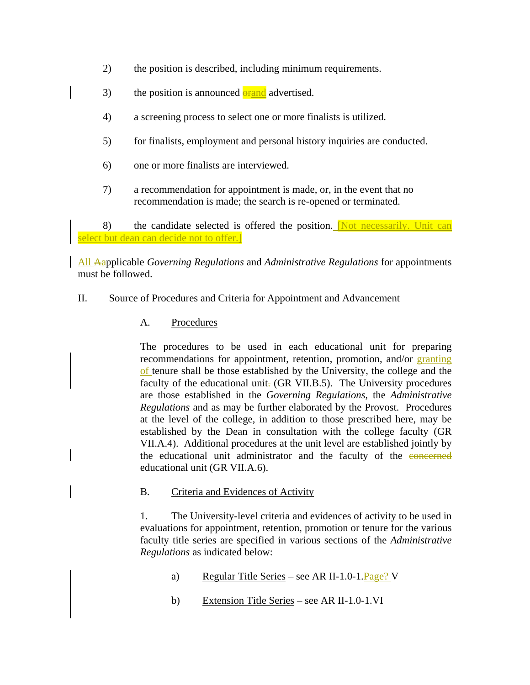- 2) the position is described, including minimum requirements.
- 3) the position is announced **orand** advertised.
	- 4) a screening process to select one or more finalists is utilized.
	- 5) for finalists, employment and personal history inquiries are conducted.
	- 6) one or more finalists are interviewed.
	- 7) a recommendation for appointment is made, or, in the event that no recommendation is made; the search is re-opened or terminated.

8) the candidate selected is offered the position. **Not necessarily.** Unit can select but dean can decide not to offer.]

All Aapplicable *Governing Regulations* and *Administrative Regulations* for appointments must be followed.

#### II. Source of Procedures and Criteria for Appointment and Advancement

#### A. Procedures

The procedures to be used in each educational unit for preparing recommendations for appointment, retention, promotion, and/or granting of tenure shall be those established by the University, the college and the faculty of the educational unit. (GR VII.B.5). The University procedures are those established in the *Governing Regulations*, the *Administrative Regulations* and as may be further elaborated by the Provost. Procedures at the level of the college, in addition to those prescribed here, may be established by the Dean in consultation with the college faculty (GR VII.A.4). Additional procedures at the unit level are established jointly by the educational unit administrator and the faculty of the concerned educational unit (GR VII.A.6).

#### B. Criteria and Evidences of Activity

1. The University-level criteria and evidences of activity to be used in evaluations for appointment, retention, promotion or tenure for the various faculty title series are specified in various sections of the *Administrative Regulations* as indicated below:

- a) Regular Title Series see AR II-1.0-1.Page? V
- b) Extension Title Series see AR II-1.0-1.VI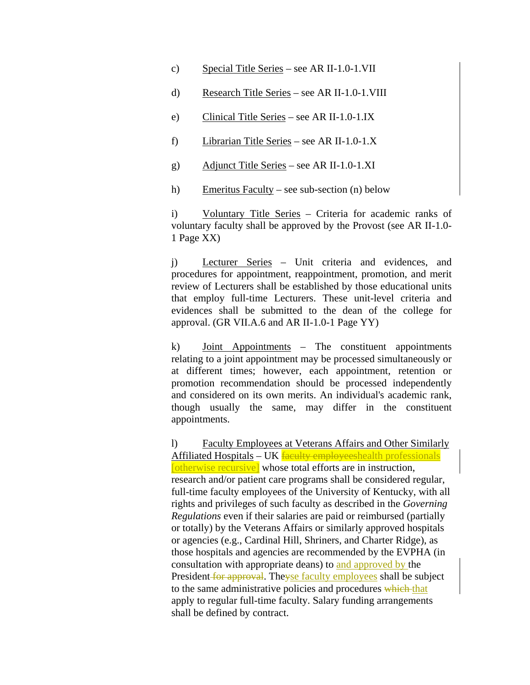- c) Special Title Series see AR II-1.0-1.VII
- d) Research Title Series see AR II-1.0-1.VIII
- e) Clinical Title Series see AR II-1.0-1.IX
- f) Librarian Title Series see AR II-1.0-1.X
- g) Adjunct Title Series see AR II-1.0-1.XI
- h) Emeritus Faculty see sub-section (n) below

i) Voluntary Title Series – Criteria for academic ranks of voluntary faculty shall be approved by the Provost (see AR II-1.0- 1 Page XX)

j) Lecturer Series – Unit criteria and evidences, and procedures for appointment, reappointment, promotion, and merit review of Lecturers shall be established by those educational units that employ full-time Lecturers. These unit-level criteria and evidences shall be submitted to the dean of the college for approval. (GR VII.A.6 and AR II-1.0-1 Page YY)

k) Joint Appointments – The constituent appointments relating to a joint appointment may be processed simultaneously or at different times; however, each appointment, retention or promotion recommendation should be processed independently and considered on its own merits. An individual's academic rank, though usually the same, may differ in the constituent appointments.

l) Faculty Employees at Veterans Affairs and Other Similarly Affiliated Hospitals – UK faculty employeeshealth professionals [otherwise recursive] whose total efforts are in instruction, research and/or patient care programs shall be considered regular, full-time faculty employees of the University of Kentucky, with all rights and privileges of such faculty as described in the *Governing Regulations* even if their salaries are paid or reimbursed (partially or totally) by the Veterans Affairs or similarly approved hospitals or agencies (e.g., Cardinal Hill, Shriners, and Charter Ridge), as those hospitals and agencies are recommended by the EVPHA (in consultation with appropriate deans) to and approved by the President for approval. The yse faculty employees shall be subject to the same administrative policies and procedures which that apply to regular full-time faculty. Salary funding arrangements shall be defined by contract.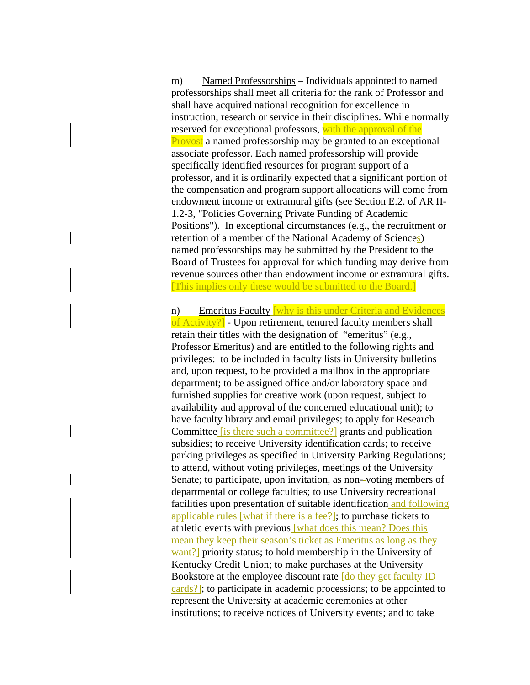m) Named Professorships – Individuals appointed to named professorships shall meet all criteria for the rank of Professor and shall have acquired national recognition for excellence in instruction, research or service in their disciplines. While normally reserved for exceptional professors, with the approval of the **Provost** a named professorship may be granted to an exceptional associate professor. Each named professorship will provide specifically identified resources for program support of a professor, and it is ordinarily expected that a significant portion of the compensation and program support allocations will come from endowment income or extramural gifts (see Section E.2. of AR II-1.2-3, "Policies Governing Private Funding of Academic Positions"). In exceptional circumstances (e.g., the recruitment or retention of a member of the National Academy of Sciences) named professorships may be submitted by the President to the Board of Trustees for approval for which funding may derive from revenue sources other than endowment income or extramural gifts. [This implies only these would be submitted to the Board.]

n) Emeritus Faculty why is this under Criteria and Evidences of Activity?<sup>]</sup> - Upon retirement, tenured faculty members shall retain their titles with the designation of "emeritus" (e.g., Professor Emeritus) and are entitled to the following rights and privileges: to be included in faculty lists in University bulletins and, upon request, to be provided a mailbox in the appropriate department; to be assigned office and/or laboratory space and furnished supplies for creative work (upon request, subject to availability and approval of the concerned educational unit); to have faculty library and email privileges; to apply for Research Committee *is there such a committee*? grants and publication subsidies; to receive University identification cards; to receive parking privileges as specified in University Parking Regulations; to attend, without voting privileges, meetings of the University Senate; to participate, upon invitation, as non--voting members of departmental or college faculties; to use University recreational facilities upon presentation of suitable identification and following applicable rules [what if there is a fee?]; to purchase tickets to athletic events with previous [what does this mean? Does this mean they keep their season's ticket as Emeritus as long as they want?] priority status; to hold membership in the University of Kentucky Credit Union; to make purchases at the University Bookstore at the employee discount rate [do they get faculty ID cards?]; to participate in academic processions; to be appointed to represent the University at academic ceremonies at other institutions; to receive notices of University events; and to take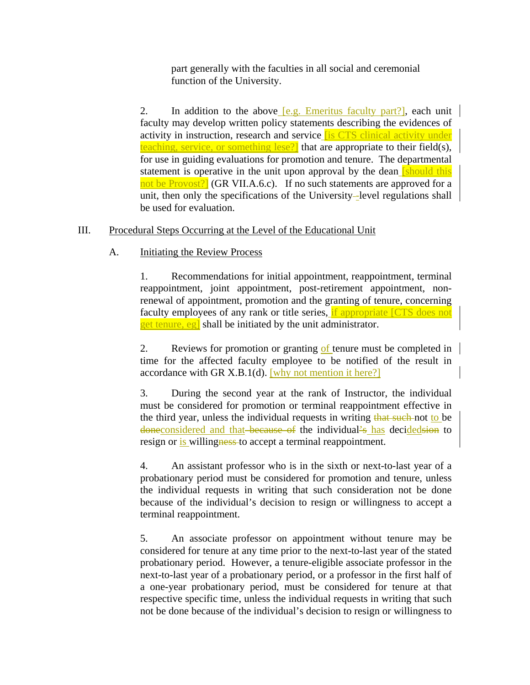part generally with the faculties in all social and ceremonial function of the University.

2. In addition to the above [e.g. Emeritus faculty part?], each unit faculty may develop written policy statements describing the evidences of activity in instruction, research and service **is CTS** clinical activity under teaching, service, or something lese?] that are appropriate to their field(s), for use in guiding evaluations for promotion and tenure. The departmental statement is operative in the unit upon approval by the dean  $\sqrt{\frac{\text{should this}}{\text{||}}}$ not be Provost?] (GR VII.A.6.c). If no such statements are approved for a unit, then only the specifications of the University -level regulations shall be used for evaluation.

## III. Procedural Steps Occurring at the Level of the Educational Unit

# A. Initiating the Review Process

1. Recommendations for initial appointment, reappointment, terminal reappointment, joint appointment, post-retirement appointment, nonrenewal of appointment, promotion and the granting of tenure, concerning faculty employees of any rank or title series, if appropriate [CTS does not get tenure, eg] shall be initiated by the unit administrator.

2. Reviews for promotion or granting of tenure must be completed in time for the affected faculty employee to be notified of the result in accordance with GR X.B.1(d). [why not mention it here?]

3. During the second year at the rank of Instructor, the individual must be considered for promotion or terminal reappointment effective in the third year, unless the individual requests in writing that such not to be doneconsidered and that because of the individual's has decidedsion to resign or is willingness to accept a terminal reappointment.

4. An assistant professor who is in the sixth or next-to-last year of a probationary period must be considered for promotion and tenure, unless the individual requests in writing that such consideration not be done because of the individual's decision to resign or willingness to accept a terminal reappointment.

5. An associate professor on appointment without tenure may be considered for tenure at any time prior to the next-to-last year of the stated probationary period. However, a tenure-eligible associate professor in the next-to-last year of a probationary period, or a professor in the first half of a one-year probationary period, must be considered for tenure at that respective specific time, unless the individual requests in writing that such not be done because of the individual's decision to resign or willingness to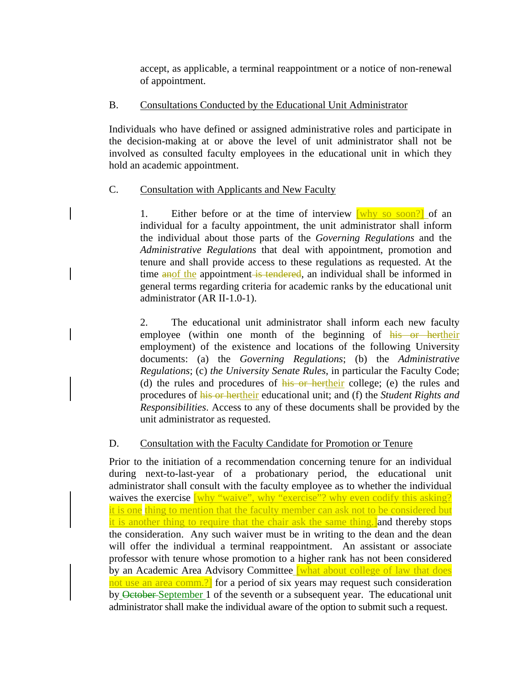accept, as applicable, a terminal reappointment or a notice of non-renewal of appointment.

#### B. Consultations Conducted by the Educational Unit Administrator

Individuals who have defined or assigned administrative roles and participate in the decision-making at or above the level of unit administrator shall not be involved as consulted faculty employees in the educational unit in which they hold an academic appointment.

#### C. Consultation with Applicants and New Faculty

1. Either before or at the time of interview  $\sqrt{why\ so\ soon?}$  of an individual for a faculty appointment, the unit administrator shall inform the individual about those parts of the *Governing Regulations* and the *Administrative Regulations* that deal with appointment, promotion and tenure and shall provide access to these regulations as requested. At the time anof the appointment is tendered, an individual shall be informed in general terms regarding criteria for academic ranks by the educational unit administrator (AR II-1.0-1).

2. The educational unit administrator shall inform each new faculty employee (within one month of the beginning of his or hertheir employment) of the existence and locations of the following University documents: (a) the *Governing Regulations*; (b) the *Administrative Regulations*; (c) *the University Senate Rules*, in particular the Faculty Code; (d) the rules and procedures of his or hertheir college; (e) the rules and procedures of his or hertheir educational unit; and (f) the *Student Rights and Responsibilities*. Access to any of these documents shall be provided by the unit administrator as requested.

D. Consultation with the Faculty Candidate for Promotion or Tenure

Prior to the initiation of a recommendation concerning tenure for an individual during next-to-last-year of a probationary period, the educational unit administrator shall consult with the faculty employee as to whether the individual waives the exercise <u>[why "waive", why "exercise"? why even codify this asking?</u> it is one thing to mention that the faculty member can ask not to be considered but it is another thing to require that the chair ask the same thing. and thereby stops the consideration. Any such waiver must be in writing to the dean and the dean will offer the individual a terminal reappointment. An assistant or associate professor with tenure whose promotion to a higher rank has not been considered by an Academic Area Advisory Committee **[what about college of law that does** not use an area comm.?] for a period of six years may request such consideration by October September 1 of the seventh or a subsequent year. The educational unit administrator shall make the individual aware of the option to submit such a request.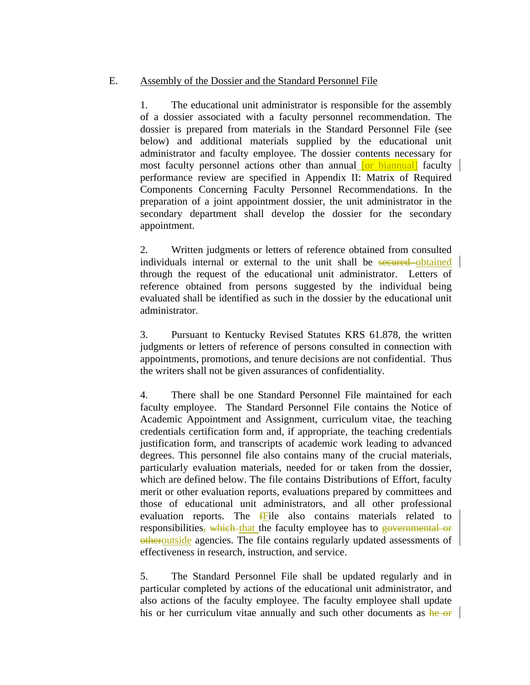#### E. Assembly of the Dossier and the Standard Personnel File

1. The educational unit administrator is responsible for the assembly of a dossier associated with a faculty personnel recommendation. The dossier is prepared from materials in the Standard Personnel File (see below) and additional materials supplied by the educational unit administrator and faculty employee. The dossier contents necessary for most faculty personnel actions other than annual **[or biannual]** faculty performance review are specified in Appendix II: Matrix of Required Components Concerning Faculty Personnel Recommendations. In the preparation of a joint appointment dossier, the unit administrator in the secondary department shall develop the dossier for the secondary appointment.

2. Written judgments or letters of reference obtained from consulted individuals internal or external to the unit shall be secured obtained through the request of the educational unit administrator. Letters of reference obtained from persons suggested by the individual being evaluated shall be identified as such in the dossier by the educational unit administrator.

3. Pursuant to Kentucky Revised Statutes KRS 61.878, the written judgments or letters of reference of persons consulted in connection with appointments, promotions, and tenure decisions are not confidential. Thus the writers shall not be given assurances of confidentiality.

4. There shall be one Standard Personnel File maintained for each faculty employee. The Standard Personnel File contains the Notice of Academic Appointment and Assignment, curriculum vitae, the teaching credentials certification form and, if appropriate, the teaching credentials justification form, and transcripts of academic work leading to advanced degrees. This personnel file also contains many of the crucial materials, particularly evaluation materials, needed for or taken from the dossier, which are defined below. The file contains Distributions of Effort, faculty merit or other evaluation reports, evaluations prepared by committees and those of educational unit administrators, and all other professional evaluation reports. The fFile also contains materials related to responsibilities, which that the faculty employee has to governmental or otheroutside agencies. The file contains regularly updated assessments of effectiveness in research, instruction, and service.

5. The Standard Personnel File shall be updated regularly and in particular completed by actions of the educational unit administrator, and also actions of the faculty employee. The faculty employee shall update his or her curriculum vitae annually and such other documents as  $\frac{he}{he}$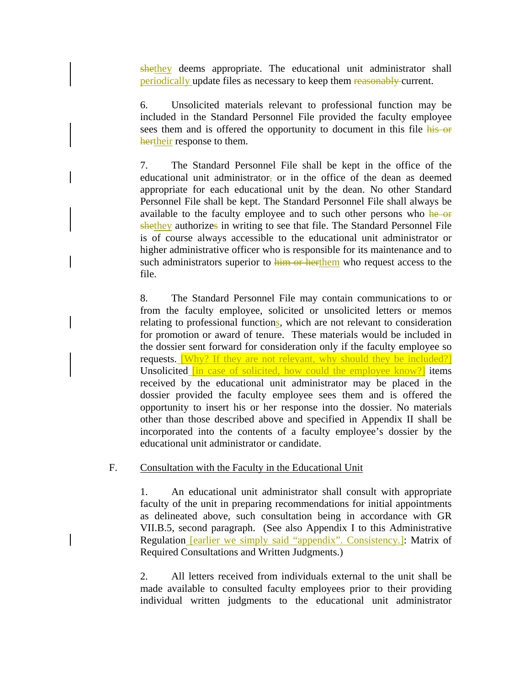shethey deems appropriate. The educational unit administrator shall periodically update files as necessary to keep them reasonably current.

6. Unsolicited materials relevant to professional function may be included in the Standard Personnel File provided the faculty employee sees them and is offered the opportunity to document in this file his or hertheir response to them.

7. The Standard Personnel File shall be kept in the office of the educational unit administrator, or in the office of the dean as deemed appropriate for each educational unit by the dean. No other Standard Personnel File shall be kept. The Standard Personnel File shall always be available to the faculty employee and to such other persons who he or shethey authorizes in writing to see that file. The Standard Personnel File is of course always accessible to the educational unit administrator or higher administrative officer who is responsible for its maintenance and to such administrators superior to him or herthem who request access to the file.

8. The Standard Personnel File may contain communications to or from the faculty employee, solicited or unsolicited letters or memos relating to professional functions, which are not relevant to consideration for promotion or award of tenure. These materials would be included in the dossier sent forward for consideration only if the faculty employee so requests. Why? If they are not relevant, why should they be included? Unsolicited **[in case of solicited, how could the employee know?]** items received by the educational unit administrator may be placed in the dossier provided the faculty employee sees them and is offered the opportunity to insert his or her response into the dossier. No materials other than those described above and specified in Appendix II shall be incorporated into the contents of a faculty employee's dossier by the educational unit administrator or candidate.

F. Consultation with the Faculty in the Educational Unit

1. An educational unit administrator shall consult with appropriate faculty of the unit in preparing recommendations for initial appointments as delineated above, such consultation being in accordance with GR VII.B.5, second paragraph. (See also Appendix I to this Administrative Regulation **[earlier** we simply said "appendix". Consistency.]: Matrix of Required Consultations and Written Judgments.)

2. All letters received from individuals external to the unit shall be made available to consulted faculty employees prior to their providing individual written judgments to the educational unit administrator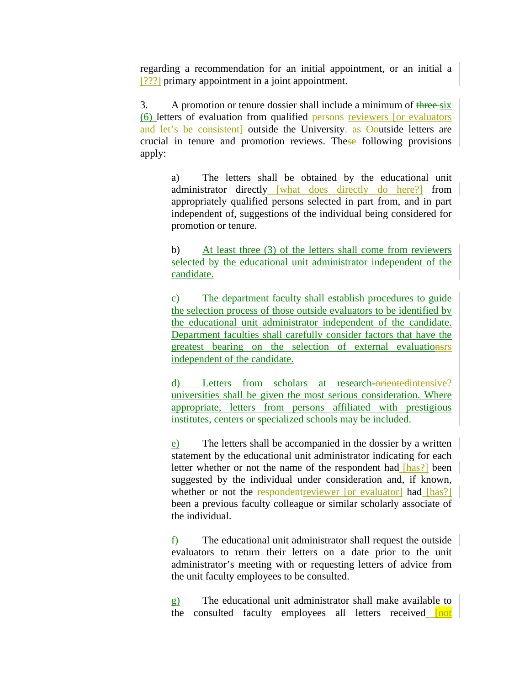regarding a recommendation for an initial appointment, or an initial a [???] primary appointment in a joint appointment.

3. A promotion or tenure dossier shall include a minimum of  $t$ hree-six (6) letters of evaluation from qualified persons reviewers [or evaluators and let's be consistent] outside the University- as  $\Theta$ outside letters are crucial in tenure and promotion reviews. These following provisions apply:

a) The letters shall be obtained by the educational unit administrator directly [what does directly do here?] from appropriately qualified persons selected in part from, and in part independent of, suggestions of the individual being considered for promotion or tenure.

b) At least three (3) of the letters shall come from reviewers selected by the educational unit administrator independent of the candidate.

c) The department faculty shall establish procedures to guide the selection process of those outside evaluators to be identified by the educational unit administrator independent of the candidate. Department faculties shall carefully consider factors that have the greatest bearing on the selection of external evaluationsrs independent of the candidate.

d) Letters from scholars at research-orientedintensive? universities shall be given the most serious consideration. Where appropriate, letters from persons affiliated with prestigious institutes, centers or specialized schools may be included.

e) The letters shall be accompanied in the dossier by a written statement by the educational unit administrator indicating for each letter whether or not the name of the respondent had [has?] been suggested by the individual under consideration and, if known, whether or not the respondent reviewer [or evaluator] had [has?] been a previous faculty colleague or similar scholarly associate of the individual.

f) The educational unit administrator shall request the outside evaluators to return their letters on a date prior to the unit administrator's meeting with or requesting letters of advice from the unit faculty employees to be consulted.

g) The educational unit administrator shall make available to the consulted faculty employees all letters received **not**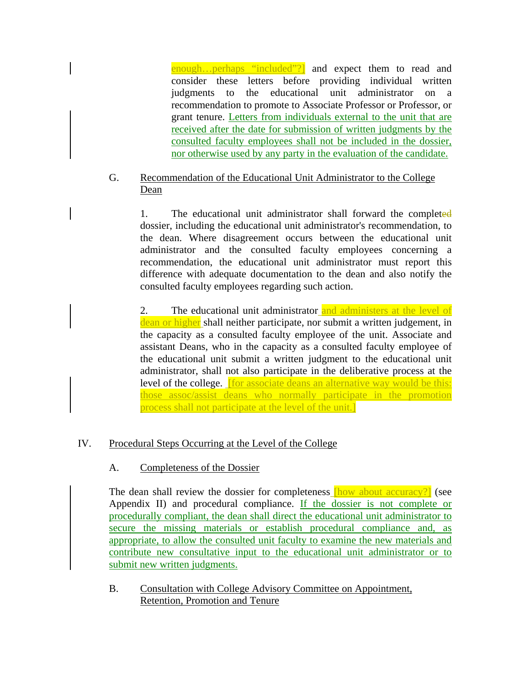enough... perhaps "included"?<sup>[1</sup>] and expect them to read and consider these letters before providing individual written judgments to the educational unit administrator on a recommendation to promote to Associate Professor or Professor, or grant tenure. Letters from individuals external to the unit that are received after the date for submission of written judgments by the consulted faculty employees shall not be included in the dossier, nor otherwise used by any party in the evaluation of the candidate.

#### G. Recommendation of the Educational Unit Administrator to the College Dean

1. The educational unit administrator shall forward the completed dossier, including the educational unit administrator's recommendation, to the dean. Where disagreement occurs between the educational unit administrator and the consulted faculty employees concerning a recommendation, the educational unit administrator must report this difference with adequate documentation to the dean and also notify the consulted faculty employees regarding such action.

2. The educational unit administrator and administers at the level of dean or higher shall neither participate, nor submit a written judgement, in the capacity as a consulted faculty employee of the unit. Associate and assistant Deans, who in the capacity as a consulted faculty employee of the educational unit submit a written judgment to the educational unit administrator, shall not also participate in the deliberative process at the level of the college. **[for associate deans an alternative way would be this:** those assoc/assist deans who normally participate in the promotion process shall not participate at the level of the unit.

## IV. Procedural Steps Occurring at the Level of the College

## A. Completeness of the Dossier

The dean shall review the dossier for completeness **[how about accuracy?]** (see Appendix II) and procedural compliance. If the dossier is not complete or procedurally compliant, the dean shall direct the educational unit administrator to secure the missing materials or establish procedural compliance and, as appropriate, to allow the consulted unit faculty to examine the new materials and contribute new consultative input to the educational unit administrator or to submit new written judgments.

B. Consultation with College Advisory Committee on Appointment, Retention, Promotion and Tenure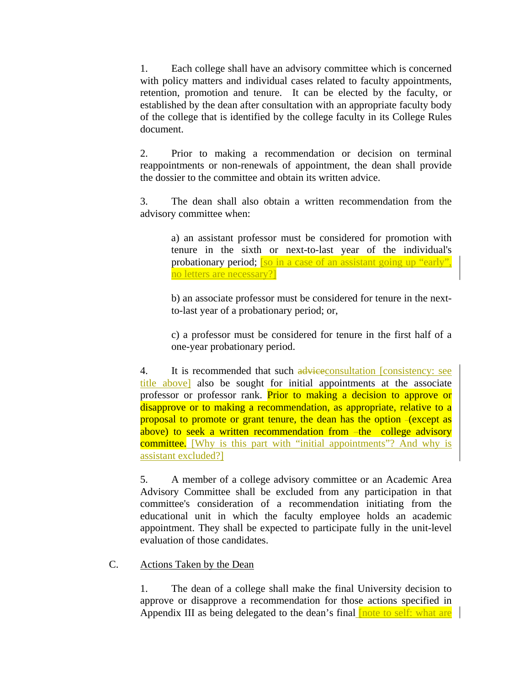1. Each college shall have an advisory committee which is concerned with policy matters and individual cases related to faculty appointments, retention, promotion and tenure. It can be elected by the faculty, or established by the dean after consultation with an appropriate faculty body of the college that is identified by the college faculty in its College Rules document.

2. Prior to making a recommendation or decision on terminal reappointments or non-renewals of appointment, the dean shall provide the dossier to the committee and obtain its written advice.

3. The dean shall also obtain a written recommendation from the advisory committee when:

> a) an assistant professor must be considered for promotion with tenure in the sixth or next-to-last year of the individual's probationary period; **[so in a case of an assistant going up "early"**, no letters are necessary?]

> b) an associate professor must be considered for tenure in the nextto-last year of a probationary period; or,

> c) a professor must be considered for tenure in the first half of a one-year probationary period.

4. It is recommended that such advice consultation [consistency: see title above] also be sought for initial appointments at the associate professor or professor rank. Prior to making a decision to approve or disapprove or to making a recommendation, as appropriate, relative to a proposal to promote or grant tenure, the dean has the option - (except as above) to seek a written recommendation from -the college advisory committee. Why is this part with "initial appointments"? And why is assistant excluded?]

5. A member of a college advisory committee or an Academic Area Advisory Committee shall be excluded from any participation in that committee's consideration of a recommendation initiating from the educational unit in which the faculty employee holds an academic appointment. They shall be expected to participate fully in the unit-level evaluation of those candidates.

C. Actions Taken by the Dean

1. The dean of a college shall make the final University decision to approve or disapprove a recommendation for those actions specified in Appendix III as being delegated to the dean's final **note to self:** what are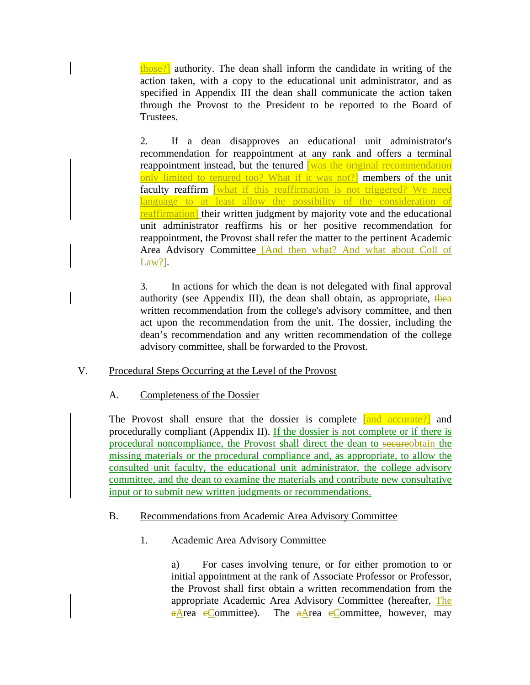those?] authority. The dean shall inform the candidate in writing of the action taken, with a copy to the educational unit administrator, and as specified in Appendix III the dean shall communicate the action taken through the Provost to the President to be reported to the Board of Trustees.

2. If a dean disapproves an educational unit administrator's recommendation for reappointment at any rank and offers a terminal reappointment instead, but the tenured **was the original recommendation** only limited to tenured too? What if it was not? members of the unit faculty reaffirm what if this reaffirmation is not triggered? We need language to at least allow the possibility of the consideration of reaffirmation] their written judgment by majority vote and the educational unit administrator reaffirms his or her positive recommendation for reappointment, the Provost shall refer the matter to the pertinent Academic Area Advisory Committee [And then what? And what about Coll of Law?].

3. In actions for which the dean is not delegated with final approval authority (see Appendix III), the dean shall obtain, as appropriate,  $t$ hea written recommendation from the college's advisory committee, and then act upon the recommendation from the unit. The dossier, including the dean's recommendation and any written recommendation of the college advisory committee, shall be forwarded to the Provost.

## V. Procedural Steps Occurring at the Level of the Provost

## A. Completeness of the Dossier

The Provost shall ensure that the dossier is complete [and accurate?] and procedurally compliant (Appendix II). If the dossier is not complete or if there is procedural noncompliance, the Provost shall direct the dean to secureobtain the missing materials or the procedural compliance and, as appropriate, to allow the consulted unit faculty, the educational unit administrator, the college advisory committee, and the dean to examine the materials and contribute new consultative input or to submit new written judgments or recommendations.

#### B. Recommendations from Academic Area Advisory Committee

## 1. Academic Area Advisory Committee

a) For cases involving tenure, or for either promotion to or initial appointment at the rank of Associate Professor or Professor, the Provost shall first obtain a written recommendation from the appropriate Academic Area Advisory Committee (hereafter, The  $a$ Area eCommittee). The  $a$ Area eCommittee, however, may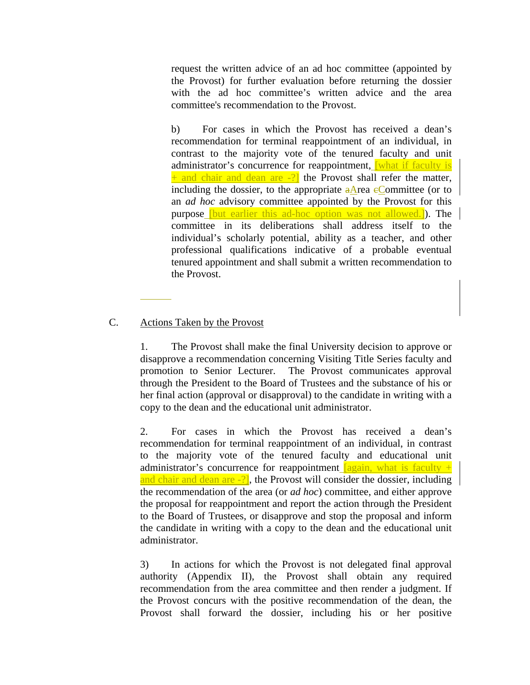request the written advice of an ad hoc committee (appointed by the Provost) for further evaluation before returning the dossier with the ad hoc committee's written advice and the area committee's recommendation to the Provost.

b) For cases in which the Provost has received a dean's recommendation for terminal reappointment of an individual, in contrast to the majority vote of the tenured faculty and unit administrator's concurrence for reappointment, what if faculty is  $+$  and chair and dean are  $-$ ?] the Provost shall refer the matter, including the dossier, to the appropriate  $a$ Area  $e$ Committee (or to an *ad hoc* advisory committee appointed by the Provost for this purpose [but earlier this ad-hoc option was not allowed.]). The committee in its deliberations shall address itself to the individual's scholarly potential, ability as a teacher, and other professional qualifications indicative of a probable eventual tenured appointment and shall submit a written recommendation to the Provost.

#### C. Actions Taken by the Provost

1. The Provost shall make the final University decision to approve or disapprove a recommendation concerning Visiting Title Series faculty and promotion to Senior Lecturer. The Provost communicates approval through the President to the Board of Trustees and the substance of his or her final action (approval or disapproval) to the candidate in writing with a copy to the dean and the educational unit administrator.

2. For cases in which the Provost has received a dean's recommendation for terminal reappointment of an individual, in contrast to the majority vote of the tenured faculty and educational unit administrator's concurrence for reappointment  $\frac{q}{q}$  again, what is faculty + and chair and dean are  $-$ ?, the Provost will consider the dossier, including the recommendation of the area (or *ad hoc*) committee, and either approve the proposal for reappointment and report the action through the President to the Board of Trustees, or disapprove and stop the proposal and inform the candidate in writing with a copy to the dean and the educational unit administrator.

3) In actions for which the Provost is not delegated final approval authority (Appendix II), the Provost shall obtain any required recommendation from the area committee and then render a judgment. If the Provost concurs with the positive recommendation of the dean, the Provost shall forward the dossier, including his or her positive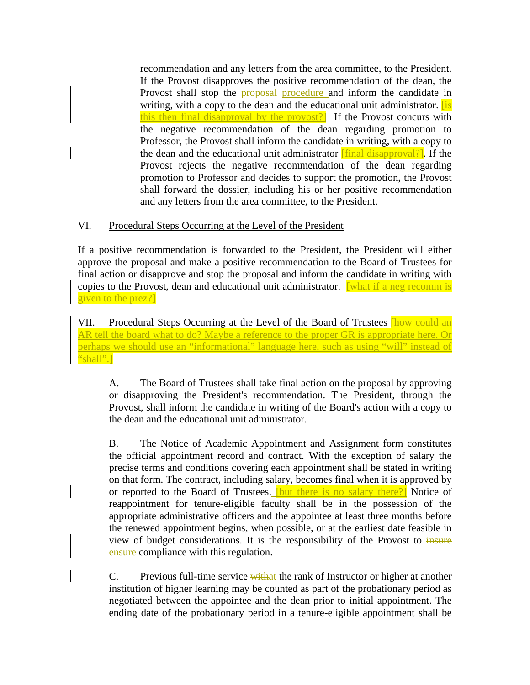recommendation and any letters from the area committee, to the President. If the Provost disapproves the positive recommendation of the dean, the Provost shall stop the **proposal** procedure and inform the candidate in writing, with a copy to the dean and the educational unit administrator. **[is**] this then final disapproval by the provost?] If the Provost concurs with the negative recommendation of the dean regarding promotion to Professor, the Provost shall inform the candidate in writing, with a copy to the dean and the educational unit administrator **[final disapproval?]**. If the Provost rejects the negative recommendation of the dean regarding promotion to Professor and decides to support the promotion, the Provost shall forward the dossier, including his or her positive recommendation and any letters from the area committee, to the President.

## VI. Procedural Steps Occurring at the Level of the President

If a positive recommendation is forwarded to the President, the President will either approve the proposal and make a positive recommendation to the Board of Trustees for final action or disapprove and stop the proposal and inform the candidate in writing with copies to the Provost, dean and educational unit administrator.  $\sqrt{\frac{4 \text{what if a neg recomm is}}{n}}$ given to the prez?]

VII. Procedural Steps Occurring at the Level of the Board of Trustees **[how could an** AR tell the board what to do? Maybe a reference to the proper GR is appropriate here. Or perhaps we should use an "informational" language here, such as using "will" instead of "shall".]

A. The Board of Trustees shall take final action on the proposal by approving or disapproving the President's recommendation. The President, through the Provost, shall inform the candidate in writing of the Board's action with a copy to the dean and the educational unit administrator.

B. The Notice of Academic Appointment and Assignment form constitutes the official appointment record and contract. With the exception of salary the precise terms and conditions covering each appointment shall be stated in writing on that form. The contract, including salary, becomes final when it is approved by or reported to the Board of Trustees. **[but there is no salary there?]** Notice of reappointment for tenure-eligible faculty shall be in the possession of the appropriate administrative officers and the appointee at least three months before the renewed appointment begins, when possible, or at the earliest date feasible in view of budget considerations. It is the responsibility of the Provost to insure ensure compliance with this regulation.

C. Previous full-time service with the rank of Instructor or higher at another institution of higher learning may be counted as part of the probationary period as negotiated between the appointee and the dean prior to initial appointment. The ending date of the probationary period in a tenure-eligible appointment shall be